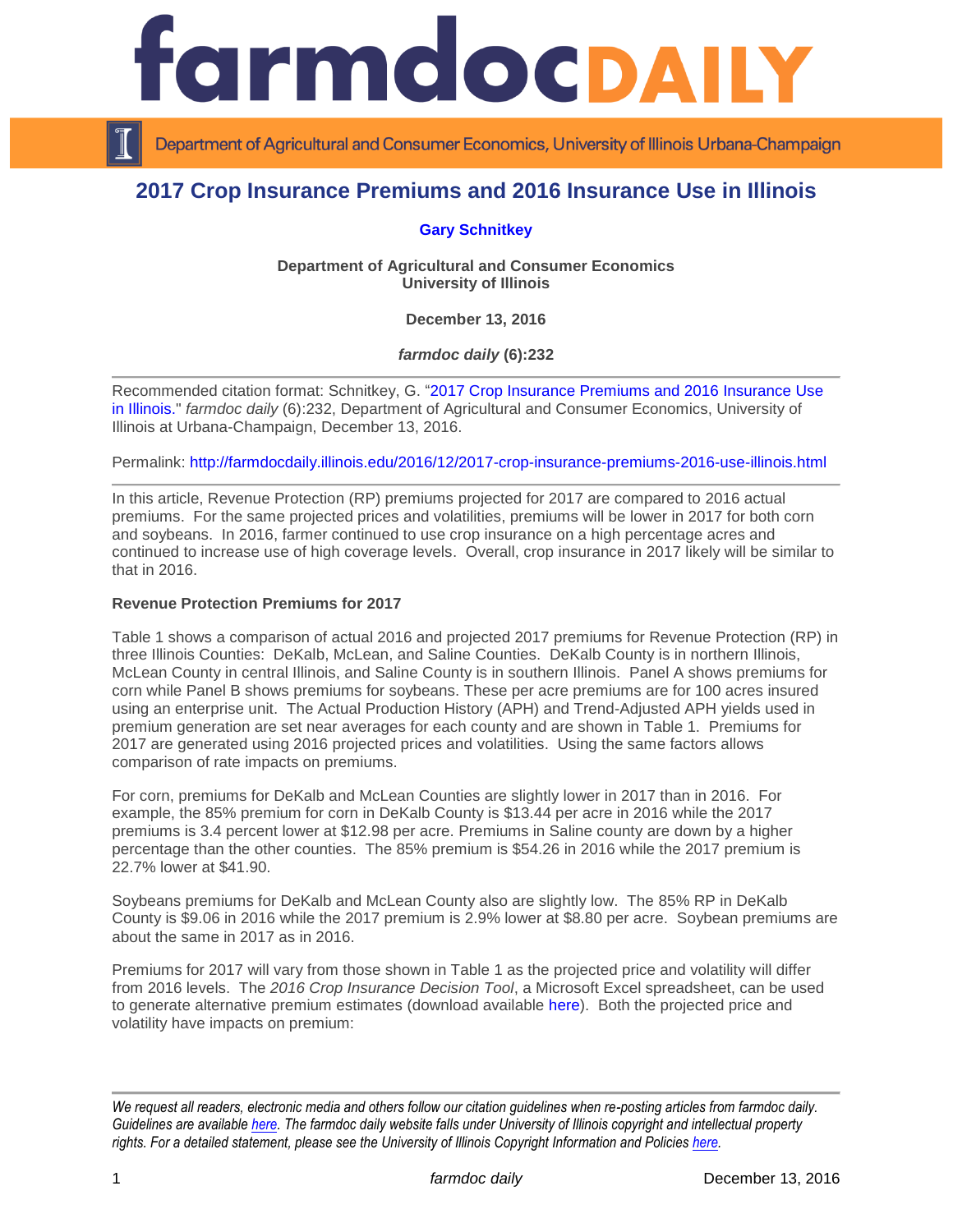

Department of Agricultural and Consumer Economics, University of Illinois Urbana-Champaign

# **2017 Crop Insurance Premiums and 2016 Insurance Use in Illinois**

### **[Gary Schnitkey](http://farmdoc.illinois.edu/schnitkey)**

**Department of Agricultural and Consumer Economics University of Illinois**

**December 13, 2016**

*farmdoc daily* **(6):232**

Recommended citation format: Schnitkey, G. ["2017 Crop Insurance Premiums and 2016 Insurance Use](http://farmdocdaily.illinois.edu/2016/12/2017-crop-insurance-premiums-2016-use-illinois.html)  [in Illinois.](http://farmdocdaily.illinois.edu/2016/12/2017-crop-insurance-premiums-2016-use-illinois.html)" *farmdoc daily* (6):232, Department of Agricultural and Consumer Economics, University of Illinois at Urbana-Champaign, December 13, 2016.

Permalink: <http://farmdocdaily.illinois.edu/2016/12/2017-crop-insurance-premiums-2016-use-illinois.html>

In this article, Revenue Protection (RP) premiums projected for 2017 are compared to 2016 actual premiums. For the same projected prices and volatilities, premiums will be lower in 2017 for both corn and soybeans. In 2016, farmer continued to use crop insurance on a high percentage acres and continued to increase use of high coverage levels. Overall, crop insurance in 2017 likely will be similar to that in 2016.

### **Revenue Protection Premiums for 2017**

Table 1 shows a comparison of actual 2016 and projected 2017 premiums for Revenue Protection (RP) in three Illinois Counties: DeKalb, McLean, and Saline Counties. DeKalb County is in northern Illinois, McLean County in central Illinois, and Saline County is in southern Illinois. Panel A shows premiums for corn while Panel B shows premiums for soybeans. These per acre premiums are for 100 acres insured using an enterprise unit. The Actual Production History (APH) and Trend-Adjusted APH yields used in premium generation are set near averages for each county and are shown in Table 1. Premiums for 2017 are generated using 2016 projected prices and volatilities. Using the same factors allows comparison of rate impacts on premiums.

For corn, premiums for DeKalb and McLean Counties are slightly lower in 2017 than in 2016. For example, the 85% premium for corn in DeKalb County is \$13.44 per acre in 2016 while the 2017 premiums is 3.4 percent lower at \$12.98 per acre. Premiums in Saline county are down by a higher percentage than the other counties. The 85% premium is \$54.26 in 2016 while the 2017 premium is 22.7% lower at \$41.90.

Soybeans premiums for DeKalb and McLean County also are slightly low. The 85% RP in DeKalb County is \$9.06 in 2016 while the 2017 premium is 2.9% lower at \$8.80 per acre. Soybean premiums are about the same in 2017 as in 2016.

Premiums for 2017 will vary from those shown in Table 1 as the projected price and volatility will differ from 2016 levels. The *2016 Crop Insurance Decision Tool*, a Microsoft Excel spreadsheet, can be used to generate alternative premium estimates (download available [here\)](http://www.farmdoc.illinois.edu/pubs/FASTtool_special_cropins2016_Spring.asp). Both the projected price and volatility have impacts on premium:

*We request all readers, electronic media and others follow our citation guidelines when re-posting articles from farmdoc daily. Guidelines are available [here.](http://farmdocdaily.illinois.edu/citationguide.html) The farmdoc daily website falls under University of Illinois copyright and intellectual property rights. For a detailed statement, please see the University of Illinois Copyright Information and Policies [here.](http://www.cio.illinois.edu/policies/copyright/)*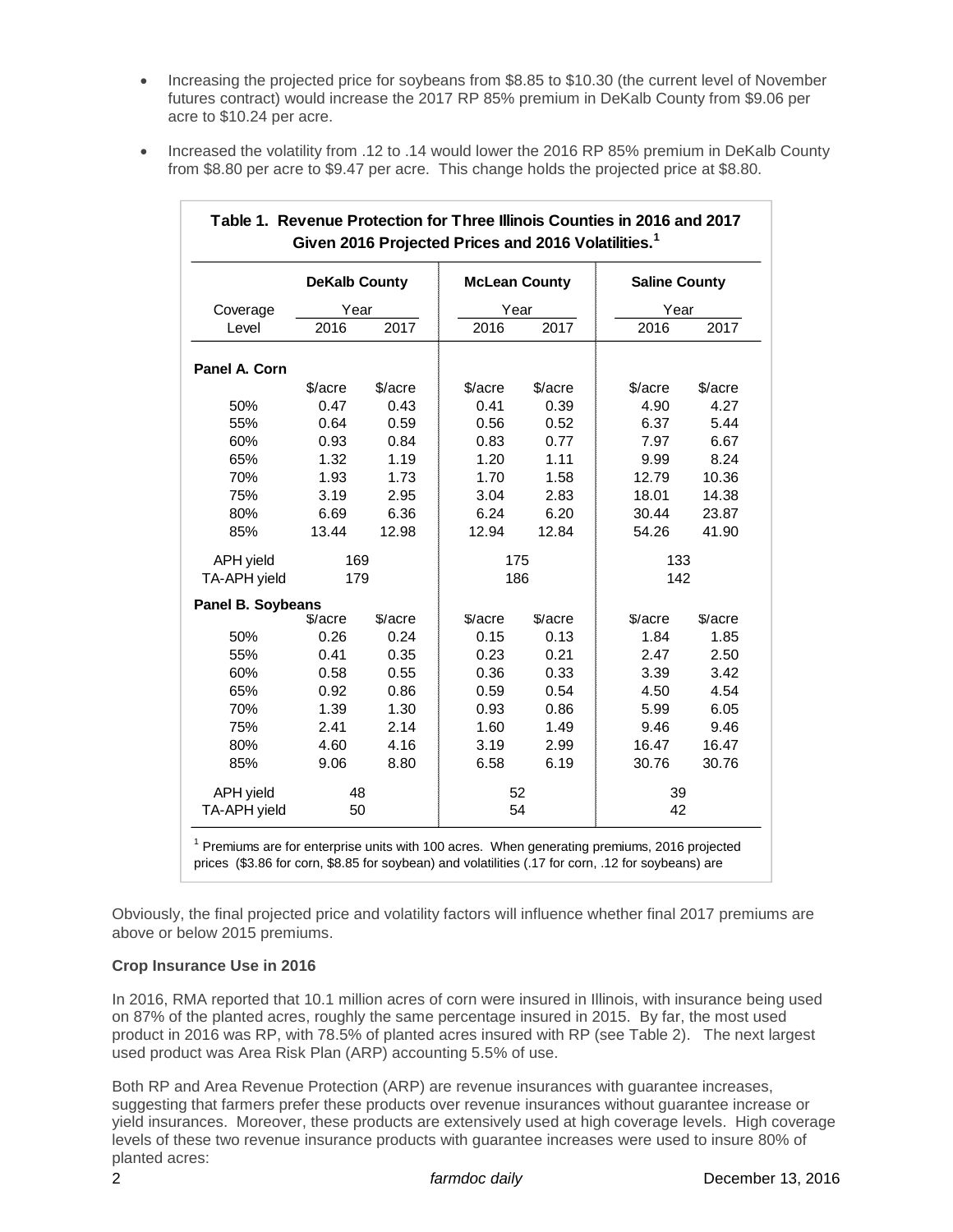- Increasing the projected price for soybeans from \$8.85 to \$10.30 (the current level of November futures contract) would increase the 2017 RP 85% premium in DeKalb County from \$9.06 per acre to \$10.24 per acre.
- Increased the volatility from .12 to .14 would lower the 2016 RP 85% premium in DeKalb County from \$8.80 per acre to \$9.47 per acre. This change holds the projected price at \$8.80.

|                   | <b>DeKalb County</b> |            | <b>McLean County</b> |         | <b>Saline County</b> |         |  |
|-------------------|----------------------|------------|----------------------|---------|----------------------|---------|--|
| Coverage          | Year                 |            | Year                 |         | Year                 |         |  |
| Level             | 2016                 | 2017       | 2016                 | 2017    | 2016                 | 2017    |  |
| Panel A. Corn     |                      |            |                      |         |                      |         |  |
|                   | \$/acre              | \$/acre    | \$/acre              | \$/acre | \$/acre              | \$/acre |  |
| 50%               | 0.47                 | 0.43       | 0.41                 | 0.39    | 4.90                 | 4.27    |  |
| 55%               | 0.64                 | 0.59       | 0.56                 | 0.52    | 6.37                 | 5.44    |  |
| 60%               | 0.93                 | 0.84       | 0.83                 | 0.77    | 7.97                 | 6.67    |  |
| 65%               | 1.32                 | 1.19       | 1.20                 | 1.11    | 9.99                 | 8.24    |  |
| 70%               | 1.93                 | 1.73       | 1.70                 | 1.58    | 12.79                | 10.36   |  |
| 75%               | 3.19                 | 2.95       | 3.04                 | 2.83    | 18.01                | 14.38   |  |
| 80%               | 6.69                 | 6.36       | 6.24                 | 6.20    | 30.44                | 23.87   |  |
| 85%               | 13.44                | 12.98      | 12.94                | 12.84   | 54.26                | 41.90   |  |
| <b>APH</b> yield  |                      | 169<br>175 |                      |         | 133                  |         |  |
| TA-APH yield      | 179                  |            | 186                  |         | 142                  |         |  |
| Panel B. Soybeans |                      |            |                      |         |                      |         |  |
|                   | \$/acre              | \$/acre    | \$/acre              | \$/acre | \$/acre              | \$/acre |  |
| 50%               | 0.26                 | 0.24       | 0.15                 | 0.13    | 1.84                 | 1.85    |  |
| 55%               | 0.41                 | 0.35       | 0.23                 | 0.21    | 2.47                 | 2.50    |  |
| 60%               | 0.58                 | 0.55       | 0.36                 | 0.33    | 3.39                 | 3.42    |  |
| 65%               | 0.92                 | 0.86       | 0.59                 | 0.54    | 4.50                 | 4.54    |  |
| 70%               | 1.39                 | 1.30       | 0.93                 | 0.86    | 5.99                 | 6.05    |  |
| 75%               | 2.41                 | 2.14       | 1.60                 | 1.49    | 9.46                 | 9.46    |  |
| 80%               | 4.60                 | 4.16       | 3.19                 | 2.99    | 16.47                | 16.47   |  |
| 85%               | 9.06                 | 8.80       | 6.58                 | 6.19    | 30.76                | 30.76   |  |
| <b>APH</b> yield  |                      | 48         |                      | 52      |                      | 39      |  |
| TA-APH yield      | 50                   |            | 54                   |         | 42                   |         |  |

# **Table 1. Revenue Protection for Three Illinois Counties in 2016 and 2017**

 Premiums are for enterprise units with 100 acres. When generating premiums, 2016 projected prices (\$3.86 for corn, \$8.85 for soybean) and volatilities (.17 for corn, .12 for soybeans) are

Obviously, the final projected price and volatility factors will influence whether final 2017 premiums are above or below 2015 premiums.

## **Crop Insurance Use in 2016**

In 2016, RMA reported that 10.1 million acres of corn were insured in Illinois, with insurance being used on 87% of the planted acres, roughly the same percentage insured in 2015. By far, the most used product in 2016 was RP, with 78.5% of planted acres insured with RP (see Table 2). The next largest used product was Area Risk Plan (ARP) accounting 5.5% of use.

Both RP and Area Revenue Protection (ARP) are revenue insurances with guarantee increases, suggesting that farmers prefer these products over revenue insurances without guarantee increase or yield insurances. Moreover, these products are extensively used at high coverage levels. High coverage levels of these two revenue insurance products with guarantee increases were used to insure 80% of planted acres: